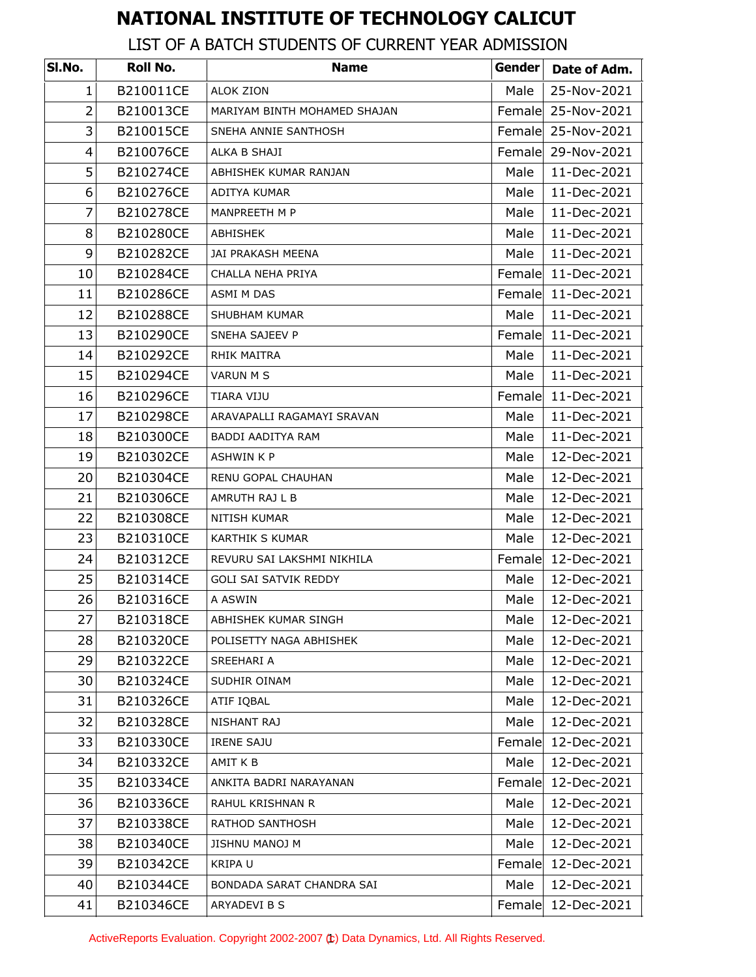## **NATIONAL INSTITUTE OF TECHNOLOGY CALICUT**

## LIST OF A BATCH STUDENTS OF CURRENT YEAR ADMISSION

| SI.No.         | Roll No.  | <b>Name</b>                  | Gender | Date of Adm.       |
|----------------|-----------|------------------------------|--------|--------------------|
| 1              | B210011CE | <b>ALOK ZION</b>             | Male   | 25-Nov-2021        |
| $\overline{2}$ | B210013CE | MARIYAM BINTH MOHAMED SHAJAN | Female | 25-Nov-2021        |
| 3              | B210015CE | SNEHA ANNIE SANTHOSH         |        | Female 25-Nov-2021 |
| 4              | B210076CE | ALKA B SHAJI                 | Female | 29-Nov-2021        |
| 5              | B210274CE | ABHISHEK KUMAR RANJAN        | Male   | 11-Dec-2021        |
| 6              | B210276CE | ADITYA KUMAR                 | Male   | 11-Dec-2021        |
| $\overline{7}$ | B210278CE | MANPREETH M P                | Male   | 11-Dec-2021        |
| 8              | B210280CE | ABHISHEK                     | Male   | 11-Dec-2021        |
| 9              | B210282CE | JAI PRAKASH MEENA            | Male   | 11-Dec-2021        |
| 10             | B210284CE | CHALLA NEHA PRIYA            | Female | 11-Dec-2021        |
| 11             | B210286CE | ASMI M DAS                   | Female | 11-Dec-2021        |
| 12             | B210288CE | <b>SHUBHAM KUMAR</b>         | Male   | 11-Dec-2021        |
| 13             | B210290CE | SNEHA SAJEEV P               | Female | 11-Dec-2021        |
| 14             | B210292CE | <b>RHIK MAITRA</b>           | Male   | 11-Dec-2021        |
| 15             | B210294CE | VARUN M S                    | Male   | 11-Dec-2021        |
| 16             | B210296CE | TIARA VIJU                   | Female | 11-Dec-2021        |
| 17             | B210298CE | ARAVAPALLI RAGAMAYI SRAVAN   | Male   | 11-Dec-2021        |
| 18             | B210300CE | BADDI AADITYA RAM            | Male   | 11-Dec-2021        |
| 19             | B210302CE | <b>ASHWIN K P</b>            | Male   | 12-Dec-2021        |
| 20             | B210304CE | RENU GOPAL CHAUHAN           | Male   | 12-Dec-2021        |
| 21             | B210306CE | AMRUTH RAJ L B               | Male   | 12-Dec-2021        |
| 22             | B210308CE | NITISH KUMAR                 | Male   | 12-Dec-2021        |
| 23             | B210310CE | <b>KARTHIK S KUMAR</b>       | Male   | 12-Dec-2021        |
| 24             | B210312CE | REVURU SAI LAKSHMI NIKHILA   | Female | 12-Dec-2021        |
| 25             | B210314CE | <b>GOLI SAI SATVIK REDDY</b> | Male   | 12-Dec-2021        |
| 26             | B210316CE | A ASWIN                      | Male   | 12-Dec-2021        |
| 27             | B210318CE | ABHISHEK KUMAR SINGH         | Male   | 12-Dec-2021        |
| 28             | B210320CE | POLISETTY NAGA ABHISHEK      | Male   | 12-Dec-2021        |
| 29             | B210322CE | <b>SREEHARI A</b>            | Male   | 12-Dec-2021        |
| 30             | B210324CE | SUDHIR OINAM                 | Male   | 12-Dec-2021        |
| 31             | B210326CE | ATIF IQBAL                   | Male   | 12-Dec-2021        |
| 32             | B210328CE | NISHANT RAJ                  | Male   | 12-Dec-2021        |
| 33             | B210330CE | <b>IRENE SAJU</b>            | Female | 12-Dec-2021        |
| 34             | B210332CE | AMIT K B                     | Male   | 12-Dec-2021        |
| 35             | B210334CE | ANKITA BADRI NARAYANAN       | Female | 12-Dec-2021        |
| 36             | B210336CE | RAHUL KRISHNAN R             | Male   | 12-Dec-2021        |
| 37             | B210338CE | RATHOD SANTHOSH              | Male   | 12-Dec-2021        |
| 38             | B210340CE | JISHNU MANOJ M               | Male   | 12-Dec-2021        |
| 39             | B210342CE | KRIPA U                      | Female | 12-Dec-2021        |
| 40             | B210344CE | BONDADA SARAT CHANDRA SAI    | Male   | 12-Dec-2021        |
| 41             | B210346CE | ARYADEVI B S                 | Female | 12-Dec-2021        |

ActiveReports Evaluation. Copyright 2002-2007 (t) Data Dynamics, Ltd. All Rights Reserved.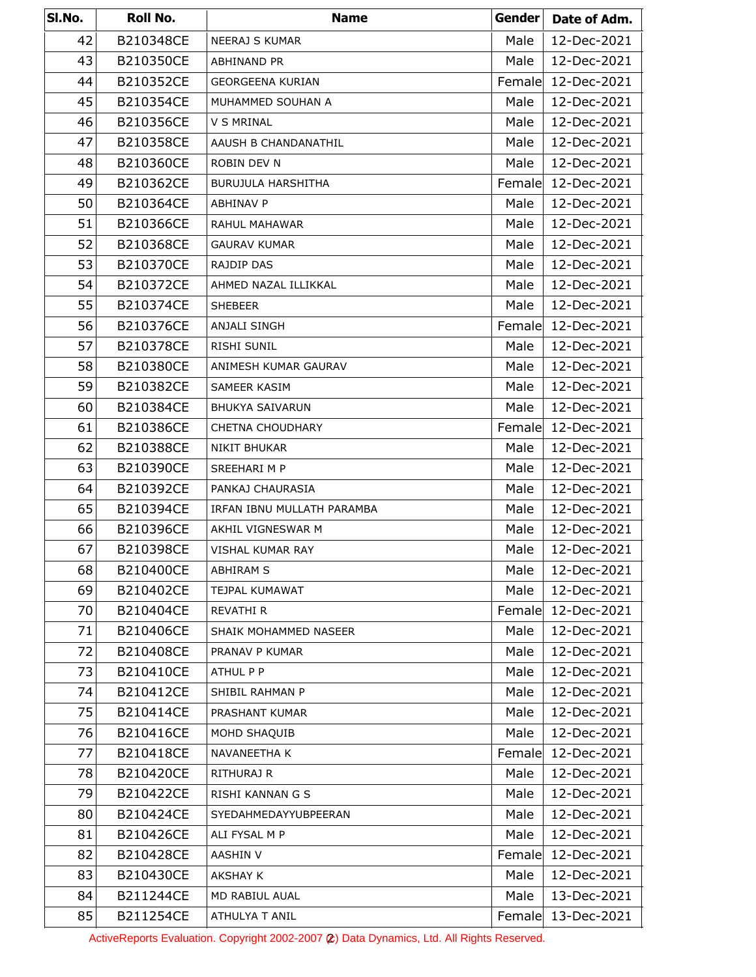| SI.No. | Roll No.  | <b>Name</b>                | Gender | Date of Adm. |
|--------|-----------|----------------------------|--------|--------------|
| 42     | B210348CE | <b>NEERAJ S KUMAR</b>      | Male   | 12-Dec-2021  |
| 43     | B210350CE | ABHINAND PR                | Male   | 12-Dec-2021  |
| 44     | B210352CE | <b>GEORGEENA KURIAN</b>    | Female | 12-Dec-2021  |
| 45     | B210354CE | MUHAMMED SOUHAN A          | Male   | 12-Dec-2021  |
| 46     | B210356CE | V S MRINAL                 | Male   | 12-Dec-2021  |
| 47     | B210358CE | AAUSH B CHANDANATHIL       | Male   | 12-Dec-2021  |
| 48     | B210360CE | ROBIN DEV N                | Male   | 12-Dec-2021  |
| 49     | B210362CE | <b>BURUJULA HARSHITHA</b>  | Female | 12-Dec-2021  |
| 50     | B210364CE | ABHINAV P                  | Male   | 12-Dec-2021  |
| 51     | B210366CE | RAHUL MAHAWAR              | Male   | 12-Dec-2021  |
| 52     | B210368CE | <b>GAURAV KUMAR</b>        | Male   | 12-Dec-2021  |
| 53     | B210370CE | RAJDIP DAS                 | Male   | 12-Dec-2021  |
| 54     | B210372CE | AHMED NAZAL ILLIKKAL       | Male   | 12-Dec-2021  |
| 55     | B210374CE | <b>SHEBEER</b>             | Male   | 12-Dec-2021  |
| 56     | B210376CE | ANJALI SINGH               | Female | 12-Dec-2021  |
| 57     | B210378CE | <b>RISHI SUNIL</b>         | Male   | 12-Dec-2021  |
| 58     | B210380CE | ANIMESH KUMAR GAURAV       | Male   | 12-Dec-2021  |
| 59     | B210382CE | SAMEER KASIM               | Male   | 12-Dec-2021  |
| 60     | B210384CE | <b>BHUKYA SAIVARUN</b>     | Male   | 12-Dec-2021  |
| 61     | B210386CE | CHETNA CHOUDHARY           | Female | 12-Dec-2021  |
| 62     | B210388CE | NIKIT BHUKAR               | Male   | 12-Dec-2021  |
| 63     | B210390CE | SREEHARI M P               | Male   | 12-Dec-2021  |
| 64     | B210392CE | PANKAJ CHAURASIA           | Male   | 12-Dec-2021  |
| 65     | B210394CE | IRFAN IBNU MULLATH PARAMBA | Male   | 12-Dec-2021  |
| 66     | B210396CE | AKHIL VIGNESWAR M          | Male   | 12-Dec-2021  |
| 67     | B210398CE | VISHAL KUMAR RAY           | Male   | 12-Dec-2021  |
| 68     | B210400CE | ABHIRAM S                  | Male   | 12-Dec-2021  |
| 69     | B210402CE | TEJPAL KUMAWAT             | Male   | 12-Dec-2021  |
| 70     | B210404CE | REVATHI R                  | Female | 12-Dec-2021  |
| 71     | B210406CE | SHAIK MOHAMMED NASEER      | Male   | 12-Dec-2021  |
| 72     | B210408CE | PRANAV P KUMAR             | Male   | 12-Dec-2021  |
| 73     | B210410CE | ATHUL P P                  | Male   | 12-Dec-2021  |
| 74     | B210412CE | SHIBIL RAHMAN P            | Male   | 12-Dec-2021  |
| 75     | B210414CE | PRASHANT KUMAR             | Male   | 12-Dec-2021  |
| 76     | B210416CE | MOHD SHAQUIB               | Male   | 12-Dec-2021  |
| 77     | B210418CE | NAVANEETHA K               | Female | 12-Dec-2021  |
| 78     | B210420CE | RITHURAJ R                 | Male   | 12-Dec-2021  |
| 79     | B210422CE | RISHI KANNAN G S           | Male   | 12-Dec-2021  |
| 80     | B210424CE | SYEDAHMEDAYYUBPEERAN       | Male   | 12-Dec-2021  |
| 81     | B210426CE | ALI FYSAL M P              | Male   | 12-Dec-2021  |
| 82     | B210428CE | AASHIN V                   | Female | 12-Dec-2021  |
| 83     | B210430CE | AKSHAY K                   | Male   | 12-Dec-2021  |
| 84     | B211244CE | MD RABIUL AUAL             | Male   | 13-Dec-2021  |
| 85     | B211254CE | ATHULYA T ANIL             | Female | 13-Dec-2021  |

ActiveReports Evaluation. Copyright 2002-2007 (2) Data Dynamics, Ltd. All Rights Reserved.